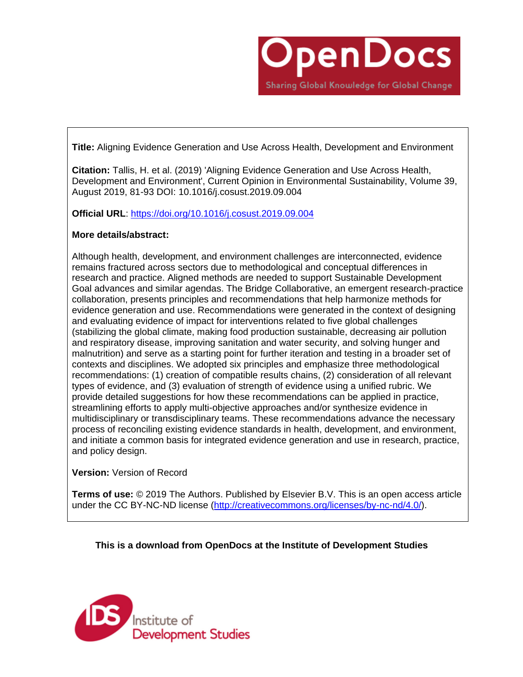

**Title:** Aligning Evidence Generation and Use Across Health, Development and Environment

**Citation:** Tallis, H. et al. (2019) 'Aligning Evidence Generation and Use Across Health, Development and Environment', Current Opinion in Environmental Sustainability, Volume 39, August 2019, 81-93 DOI: 10.1016/j.cosust.2019.09.004

**Official URL**: <https://doi.org/10.1016/j.cosust.2019.09.004>

## **More details/abstract:**

Although health, development, and environment challenges are interconnected, evidence remains fractured across sectors due to methodological and conceptual differences in research and practice. Aligned methods are needed to support Sustainable Development Goal advances and similar agendas. The Bridge Collaborative, an emergent research-practice collaboration, presents principles and recommendations that help harmonize methods for evidence generation and use. Recommendations were generated in the context of designing and evaluating evidence of impact for interventions related to five global challenges (stabilizing the global climate, making food production sustainable, decreasing air pollution and respiratory disease, improving sanitation and water security, and solving hunger and malnutrition) and serve as a starting point for further iteration and testing in a broader set of contexts and disciplines. We adopted six principles and emphasize three methodological recommendations: (1) creation of compatible results chains, (2) consideration of all relevant types of evidence, and (3) evaluation of strength of evidence using a unified rubric. We provide detailed suggestions for how these recommendations can be applied in practice, streamlining efforts to apply multi-objective approaches and/or synthesize evidence in multidisciplinary or transdisciplinary teams. These recommendations advance the necessary process of reconciling existing evidence standards in health, development, and environment, and initiate a common basis for integrated evidence generation and use in research, practice, and policy design.

**Version:** Version of Record

**Terms of use:** © 2019 The Authors. Published by Elsevier B.V. This is an open access article under the CC BY-NC-ND license [\(http://creativecommons.org/licenses/by-nc-nd/4.0/\)](http://creativecommons.org/licenses/by-nc-nd/4.0/).

**This is a download from OpenDocs at the Institute of Development Studies**

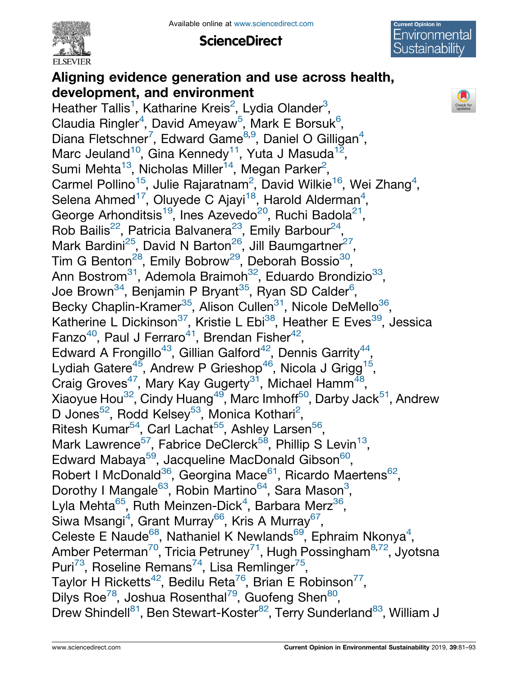

**ScienceDirect** 



Check for<br>updates

# Aligning evidence generation and use across health, development, and environment

Heather Tallis<sup>[1](#page-2-0)</sup>, Katharine Kreis<sup>[2](#page-2-0)</sup>, Lydia Olander<sup>[3](#page-2-0)</sup>, Claudia Ringler<sup>[4](#page-2-0)</sup>, David Ameyaw<sup>[5](#page-2-0)</sup>, Mark E Borsuk<sup>[6](#page-2-0)</sup>, Diana Fletschner<sup>[7](#page-2-0)</sup>, Edward Game<sup>[8,9](#page-2-0)</sup>, Daniel O Gilligan<sup>4</sup>, Marc Jeuland<sup>10</sup>, Gina Kennedy<sup>11</sup>, Yuta J Masuda<sup>12</sup>, Sumi Mehta $^{13}$ , Nicholas Miller $^{14}$ , Megan Parker<sup>[2](#page-2-0)</sup>, Carmel Pollino<sup>15</sup>, Julie Rajaratnam<sup>[2](#page-2-0)</sup>, David Wilkie<sup>16</sup>, Wei Zhang<sup>[4](#page-2-0)</sup>, Selena Ahmed $^{17}$ , Oluyede C Ajayi $^{18}$ , Harold [Alderman](#page-2-0) $^{4}$  $^{4}$  $^{4}$ , George Arhonditsis<sup>19</sup>, Ines Azevedo<sup>20</sup>, Ruchi Badola<sup>21</sup>, Rob Bailis<sup>22</sup>, Patricia Balvanera<sup>23</sup>, Emily Barbour<sup>24</sup>, Mark Bardini<sup>25</sup>, David N Barton<sup>26</sup>, Jill Baumgartner<sup>27</sup>, Tim G Benton<sup>28</sup>, Emily Bobrow<sup>29</sup>, Deborah Bossio<sup>30</sup>, Ann Bostrom<sup>31</sup>, Ademola Braimon<sup>32</sup>, Eduardo Brondizio<sup>33</sup>, Joe Brown $^{34}$ , Benjamin P Bryant $^{35}$ , Ryan SD Calder $^6$  $^6$ , Becky Chaplin-Kramer<sup>35</sup>, Alison Cullen<sup>31</sup>, Nicole DeMello<sup>36</sup>, Katherine L Dickinson<sup>37</sup>, Kristie L Ebi<sup>38</sup>, Heather E Eves<sup>39</sup>, Jessica Fanzo<sup>40</sup>, Paul J Ferraro<sup>41</sup>, Brendan Fisher<sup>42</sup>, Edward A Frongillo<sup>43</sup>, Gillian Galford<sup>42</sup>, Dennis Garrity<sup>44</sup>, Lydiah Gatere $^{45}$ , Andrew P Grieshop $^{46}$ , Nicola J Grigg $^{15}$ , Craig Groves<sup>47</sup>, Mary Kay Gugerty<sup>31</sup>, Michael Hamm<sup>48</sup>, Xiaoyue Hou<sup>32</sup>, Cindy Huang<sup>49</sup>, Marc Imhoff<sup>50</sup>, Darby Jack<sup>51</sup>, Andrew D Jones<sup>5[2](#page-2-0)</sup>, Rodd Kelsey<sup>53</sup>, Monica Kothari<sup>2</sup>, Ritesh Kumar<sup>54</sup>, Carl Lachat<sup>55</sup>, Ashley Larsen<sup>56</sup>, Mark Lawrence<sup>57</sup>, Fabrice DeClerck<sup>58</sup>, Phillip S Levin<sup>13</sup>, Edward Mabaya<sup>59</sup>, Jacqueline MacDonald Gibson<sup>60</sup>, Robert I McDonald<sup>36</sup>, Georgina Mace<sup>61</sup>, Ricardo Maertens<sup>62</sup>, Dorothy I Mangale<sup>6[3](#page-2-0)</sup>, Robin Martino<sup>64</sup>, Sara Mason<sup>3</sup>, Lyla Mehta<sup>65</sup>, Ruth Meinzen-Dick<sup>[4](#page-2-0)</sup>, Barbara Merz<sup>36</sup>, Siwa Msangi<sup>[4](#page-2-0)</sup>, Grant Murray<sup>66</sup>, Kris A Murray<sup>67</sup>, Celeste E Naude<sup>68</sup>, Nathaniel K Newlands<sup>69</sup>, Ephraim Nkonya<sup>[4](#page-2-0)</sup>, Amber Peterman<sup>70</sup>, Tricia Petruney<sup>71</sup>, Hugh Possingham<sup>[8,](#page-2-0)72</sup>, Jyotsna Puri<sup>73</sup>, Roseline Remans<sup>74</sup>, Lisa Remlinger<sup>75</sup>, Taylor H Ricketts<sup>42</sup>, Bedilu Reta<sup>76</sup>, Brian E Robinson<sup>77</sup>, Dilys Roe<sup>78</sup>, Joshua Rosenthal<sup>79</sup>, Guofeng Shen<sup>80</sup>, Drew Shindell<sup>81</sup>, Ben Stewart-Koster<sup>82</sup>, Terry Sunderland<sup>83</sup>, William J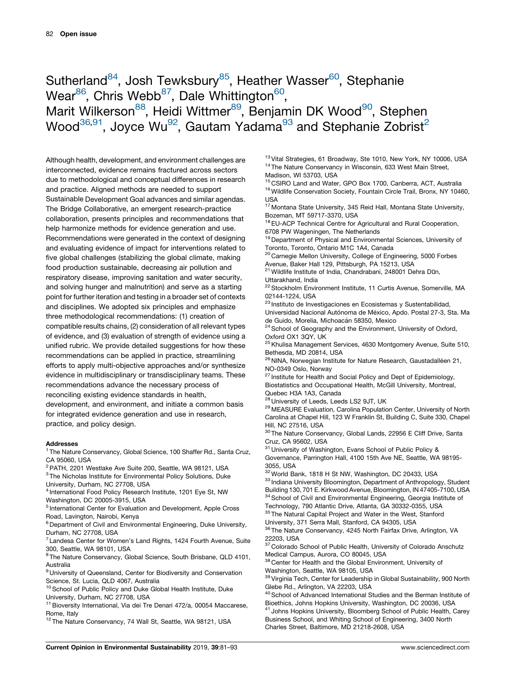# <span id="page-2-0"></span>Sutherland<sup>84</sup>, Josh Tewksbury<sup>85</sup>, Heather Wasser<sup>60</sup>, Stephanie Wear $^{86}$ , Chris Webb<sup>87</sup>, Dale Whittington<sup>60</sup>, Marit Wilkerson<sup>88</sup>, Heidi Wittmer<sup>89</sup>, Benjamin DK Wood<sup>90</sup>, Stephen Wood<sup>36,91</sup>, Joyce Wu<sup>92</sup>, Gautam Yadama<sup>[93](#page-3-0)</sup> and Stephanie Zobrist<sup>2</sup>

Although health, development, and environment challenges are interconnected, evidence remains fractured across sectors due to methodological and conceptual differences in research and practice. Aligned methods are needed to support Sustainable Development Goal advances and similar agendas. The Bridge Collaborative, an emergent research-practice collaboration, presents principles and recommendations that help harmonize methods for evidence generation and use. Recommendations were generated in the context of designing and evaluating evidence of impact for interventions related to five global challenges (stabilizing the global climate, making food production sustainable, decreasing air pollution and respiratory disease, improving sanitation and water security, and solving hunger and malnutrition) and serve as a starting point for further iteration and testing in a broader set of contexts and disciplines. We adopted six principles and emphasize three methodological recommendations: (1) creation of compatible results chains, (2) consideration of all relevant types of evidence, and (3) evaluation of strength of evidence using a unified rubric. We provide detailed suggestions for how these recommendations can be applied in practice, streamlining efforts to apply multi-objective approaches and/or synthesize evidence in multidisciplinary or transdisciplinary teams. These recommendations advance the necessary process of reconciling existing evidence standards in health,

development, and environment, and initiate a common basis for integrated evidence generation and use in research, practice, and policy design.

#### Addresses

<sup>1</sup> The Nature Conservancy, Global Science, 100 Shaffer Rd., Santa Cruz, CA 95060, USA

<sup>2</sup> PATH, 2201 Westlake Ave Suite 200, Seattle, WA 98121, USA <sup>3</sup> The Nicholas Institute for Environmental Policy Solutions, Duke

University, Durham, NC 27708, USA

<sup>4</sup> International Food Policy Research Institute, 1201 Eye St, NW Washington, DC 20005-3915, USA

<sup>5</sup> International Center for Evaluation and Development, Apple Cross Road, Lavington, Nairobi, Kenya

<sup>6</sup> Department of Civil and Environmental Engineering, Duke University, Durham, NC 27708, USA

 $7$  Landesa Center for Women's Land Rights, 1424 Fourth Avenue, Suite 300, Seattle, WA 98101, USA

<sup>8</sup> The Nature Conservancy, Global Science, South Brisbane, QLD 4101, Australia

<sup>9</sup> University of Queensland, Center for Biodiversity and Conservation Science, St. Lucia, QLD 4067, Australia

<sup>10</sup> School of Public Policy and Duke Global Health Institute, Duke University, Durham, NC 27708, USA

<sup>11</sup> Bioversity International, Via dei Tre Denari 472/a, 00054 Maccarese, Rome, Italy

<sup>12</sup> The Nature Conservancy, 74 Wall St, Seattle, WA 98121, USA

<sup>13</sup> Vital Strategies, 61 Broadway, Ste 1010, New York, NY 10006, USA <sup>14</sup> The Nature Conservancy in Wisconsin, 633 West Main Street, Madison, WI 53703, USA

<sup>15</sup> CSIRO Land and Water, GPO Box 1700, Canberra, ACT, Australia <sup>16</sup> Wildlife Conservation Society, Fountain Circle Trail, Bronx, NY 10460, USA

<sup>17</sup> Montana State University, 345 Reid Hall, Montana State University, Bozeman, MT 59717-3370, USA

<sup>18</sup> EU-ACP Technical Centre for Agricultural and Rural Cooperation. 6708 PW Wageningen, The Netherlands

<sup>19</sup> Department of Physical and Environmental Sciences, University of Toronto, Toronto, Ontario M1C 1A4, Canada

<sup>20</sup> Carnegie Mellon University, College of Engineering, 5000 Forbes Avenue, Baker Hall 129, Pittsburgh, PA 15213, USA

 $21$  Wildlife Institute of India, Chandrabani, 248001 Dehra Dun, Uttarakhand, India

<sup>22</sup> Stockholm Environment Institute, 11 Curtis Avenue, Somerville, MA 02144-1224, USA

<sup>23</sup> Instituto de Investigaciones en Ecosistemas y Sustentabilidad,

Universidad Nacional Autónoma de México, Apdo. Postal 27-3, Sta. Ma de Guido, Morelia, Michoacán 58350, Mexico

<sup>24</sup> School of Geography and the Environment, University of Oxford, Oxford OX1 3QY, UK

<sup>25</sup> Khulisa Management Services, 4630 Montgomery Avenue, Suite 510, Bethesda, MD 20814, USA

 $26$  NINA, Norwegian Institute for Nature Research, Gaustadalléen 21, NO-0349 Oslo, Norway

 $27$  Institute for Health and Social Policy and Dept of Epidemiology, Biostatistics and Occupational Health, McGill University, Montreal, Quebec H3A 1A3, Canada

28 University of Leeds, Leeds LS2 9JT, UK

<sup>29</sup> MEASURE Evaluation, Carolina Population Center, University of North Carolina at Chapel Hill, 123 W Franklin St, Building C, Suite 330, Chapel Hill, NC 27516, USA

<sup>30</sup> The Nature Conservancy, Global Lands, 22956 E Cliff Drive, Santa Cruz, CA 95602, USA

<sup>31</sup> University of Washington, Evans School of Public Policy &

Governance, Parrington Hall, 4100 15th Ave NE, Seattle, WA 98195- 3055, USA

32World Bank, 1818 H St NW, Washington, DC 20433, USA

 $^{33}$  Indiana University Bloomington, Department of Anthropology, Student Building 130, 701 E. Kirkwood Avenue, Bloomington, IN 47405-7100, USA

34 School of Civil and Environmental Engineering, Georgia Institute of Technology, 790 Atlantic Drive, Atlanta, GA 30332-0355, USA

<sup>35</sup> The Natural Capital Project and Water in the West, Stanford University, 371 Serra Mall, Stanford, CA 94305, USA

36 The Nature Conservancy, 4245 North Fairfax Drive, Arlington, VA 22203, USA

<sup>37</sup> Colorado School of Public Health, University of Colorado Anschutz Medical Campus, Aurora, CO 80045, USA

38 Center for Health and the Global Environment, University of Washington, Seattle, WA 98105, USA

<sup>39</sup> Virginia Tech, Center for Leadership in Global Sustainability, 900 North Glebe Rd., Arlington, VA 22203, USA

<sup>40</sup> School of Advanced International Studies and the Berman Institute of Bioethics, Johns Hopkins University, Washington, DC 20036, USA

<sup>41</sup> Johns Hopkins University, Bloomberg School of Public Health, Carey Business School, and Whiting School of Engineering, 3400 North Charles Street, Baltimore, MD 21218-2608, USA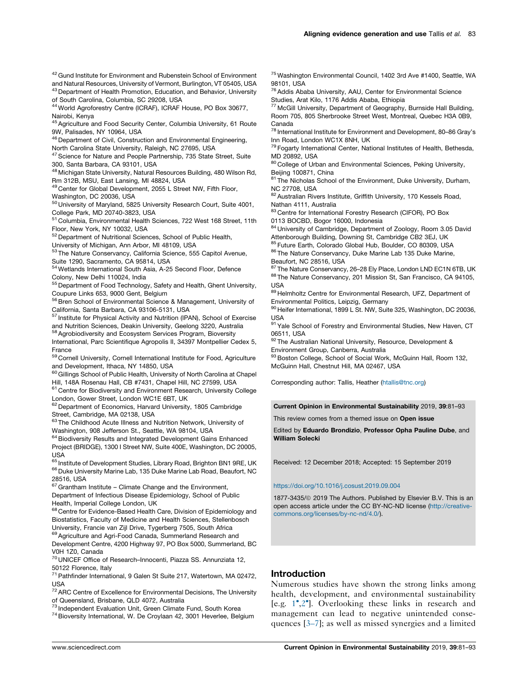<span id="page-3-0"></span><sup>42</sup> Gund Institute for Environment and Rubenstein School of Environment and Natural Resources, University of Vermont, Burlington, VT 05405, USA

43 Department of Health Promotion, Education, and Behavior, University of South Carolina, Columbia, SC 29208, USA <sup>44</sup> World Agroforestry Centre (ICRAF), ICRAF House, PO Box 30677,

Nairobi, Kenya

45 Agriculture and Food Security Center, Columbia University, 61 Route 9W, Palisades, NY 10964, USA

<sup>46</sup> Department of Civil, Construction and Environmental Engineering,

North Carolina State University, Raleigh, NC 27695, USA

<sup>47</sup> Science for Nature and People Partnership, 735 State Street, Suite 300, Santa Barbara, CA 93101, USA

<sup>48</sup> Michigan State University, Natural Resources Building, 480 Wilson Rd, Rm 312B, MSU, East Lansing, MI 48824, USA

49 Center for Global Development, 2055 L Street NW, Fifth Floor,

Washington, DC 20036, USA

<sup>50</sup> University of Maryland, 5825 University Research Court, Suite 4001, College Park, MD 20740-3823, USA

<sup>51</sup> Columbia, Environmental Health Sciences, 722 West 168 Street, 11th Floor, New York, NY 10032, USA

<sup>52</sup> Department of Nutritional Sciences, School of Public Health,

University of Michigan, Ann Arbor, MI 48109, USA

<sup>53</sup> The Nature Conservancy, California Science, 555 Capitol Avenue, Suite 1290, Sacramento, CA 95814, USA

<sup>54</sup> Wetlands International South Asia, A-25 Second Floor, Defence Colony, New Delhi 110024, India

<sup>55</sup> Department of Food Technology, Safety and Health, Ghent University, Coupure Links 653, 9000 Gent, Belgium

<sup>56</sup> Bren School of Environmental Science & Management, University of California, Santa Barbara, CA 93106-5131, USA

<sup>57</sup> Institute for Physical Activity and Nutrition (IPAN), School of Exercise and Nutrition Sciences, Deakin University, Geelong 3220, Australia

58 Agrobiodiversity and Ecosystem Services Program, Bioversity

International, Parc Scientifique Agropolis II, 34397 Montpellier Cedex 5, France

<sup>59</sup> Cornell University, Cornell International Institute for Food, Agriculture and Development, Ithaca, NY 14850, USA

 $60$  Gillings School of Public Health, University of North Carolina at Chapel Hill, 148A Rosenau Hall, CB #7431, Chapel Hill, NC 27599, USA

<sup>61</sup> Centre for Biodiversity and Environment Research, University College London, Gower Street, London WC1E 6BT, UK

<sup>62</sup> Department of Economics, Harvard University, 1805 Cambridge Street, Cambridge, MA 02138, USA

<sup>63</sup> The Childhood Acute Illness and Nutrition Network, University of Washington, 908 Jefferson St., Seattle, WA 98104, USA

 $^{64}$  Biodiversity Results and Integrated Development Gains Enhanced Project (BRIDGE), 1300 I Street NW, Suite 400E, Washington, DC 20005, USA

65 Institute of Development Studies, Library Road, Brighton BN1 9RE, UK  $^{66}$  Duke University Marine Lab, 135 Duke Marine Lab Road, Beaufort, NC 28516, USA

<sup>67</sup> Grantham Institute – Climate Change and the Environment, Department of Infectious Disease Epidemiology, School of Public Health, Imperial College London, UK

68 Centre for Evidence-Based Health Care, Division of Epidemiology and Biostatistics, Faculty of Medicine and Health Sciences, Stellenbosch University, Francie van Zijl Drive, Tygerberg 7505, South Africa

69 Agriculture and Agri-Food Canada, Summerland Research and Development Centre, 4200 Highway 97, PO Box 5000, Summerland, BC V0H 1Z0, Canada

<sup>70</sup> UNICEF Office of Research–Innocenti, Piazza SS. Annunziata 12, 50122 Florence, Italy

71Pathfinder International, 9 Galen St Suite 217, Watertown, MA 02472, USA

<sup>72</sup> ARC Centre of Excellence for Environmental Decisions, The University of Queensland, Brisbane, QLD 4072, Australia

 $^{73}$  Independent Evaluation Unit, Green Climate Fund, South Korea

<sup>74</sup> Bioversity International, W. De Croylaan 42, 3001 Heverlee, Belgium

<sup>75</sup> Washington Environmental Council, 1402 3rd Ave #1400, Seattle, WA 98101, USA

<sup>76</sup> Addis Ababa University, AAU, Center for Environmental Science Studies, Arat Kilo, 1176 Addis Ababa, Ethiopia

 $77$  McGill University, Department of Geography, Burnside Hall Building, Room 705, 805 Sherbrooke Street West, Montreal, Quebec H3A 0B9, Canada

<sup>78</sup> International Institute for Environment and Development, 80–86 Gray's Inn Road, London WC1X 8NH, UK

<sup>79</sup> Fogarty International Center, National Institutes of Health, Bethesda, MD 20892, USA

80 College of Urban and Environmental Sciences, Peking University, Beijing 100871, China

 $81$  The Nicholas School of the Environment, Duke University, Durham, NC 27708, USA

82 Australian Rivers Institute, Griffith University, 170 Kessels Road, Nathan 4111, Australia

83 Centre for International Forestry Research (CIFOR), PO Box 0113 BOCBD, Bogor 16000, Indonesia

84 University of Cambridge, Department of Zoology, Room 3.05 David Attenborough Building, Downing St, Cambridge CB2 3EJ, UK

<sup>85</sup> Future Earth, Colorado Global Hub, Boulder, CO 80309, USA

86 The Nature Conservancy, Duke Marine Lab 135 Duke Marine, Beaufort, NC 28516, USA

87 The Nature Conservancy, 26-28 Ely Place, London LND EC1N 6TB, UK 88 The Nature Conservancy, 201 Mission St, San Francisco, CA 94105, USA

<sup>89</sup> Helmholtz Centre for Environmental Research, UFZ, Department of Environmental Politics, Leipzig, Germany

90 Heifer International, 1899 L St. NW, Suite 325, Washington, DC 20036, USA

91 Yale School of Forestry and Environmental Studies, New Haven, CT 06511, USA

92 The Australian National University, Resource, Development & Environment Group, Canberra, Australia

93 Boston College, School of Social Work, McGuinn Hall, Room 132, McGuinn Hall, Chestnut Hill, MA 02467, USA

Corresponding author: Tallis, Heather ([htallis@tnc.org\)](mailto:htallis@tnc.org)

Current Opinion in Environmental Sustainability 2019, 39:81–93

This review comes from a themed issue on Open issue

Edited by Eduardo Brondizio, Professor Opha Pauline Dube, and William Solecki

Received: 12 December 2018; Accepted: 15 September 2019

#### <https://doi.org/10.1016/j.cosust.2019.09.004>

1877-3435/ã 2019 The Authors. Published by Elsevier B.V. This is an open access article under the CC BY-NC-ND license ([http://creative](https://doi.org/10.1016/j.cosust.2019.09.004)[commons.org/licenses/by-nc-nd/4.0/\)](https://doi.org/10.1016/j.cosust.2019.09.004).

## Introduction

Numerous studies have shown the strong links among health, development, and environmental sustainability [e.g. [1](#page-11-0) ,[2](#page-11-0) ]. Overlooking these links in research and management can lead to negative unintended consequences [\[3–7](#page-11-0)]; as well as missed synergies and a limited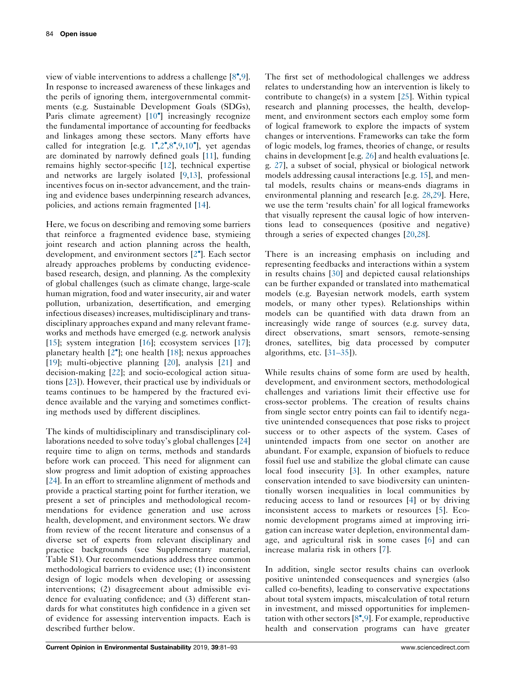view of viable interventions to address a challenge [\[8](#page-11-0)[,9](#page-11-0)]. In response to increased awareness of these linkages and the perils of ignoring them, intergovernmental commitments (e.g. Sustainable Development Goals (SDGs), Paris climate agreement) [[10](#page-11-0)<sup>°</sup>] increasingly recognize the fundamental importance of accounting for feedbacks and linkages among these sectors. Many efforts have called for integration [e.g.  $1^{\bullet}, 2^{\bullet}, 8^{\bullet}, 9, 10^{\bullet}$  $1^{\bullet}, 2^{\bullet}, 8^{\bullet}, 9, 10^{\bullet}$  $1^{\bullet}, 2^{\bullet}, 8^{\bullet}, 9, 10^{\bullet}$  $1^{\bullet}, 2^{\bullet}, 8^{\bullet}, 9, 10^{\bullet}$  $1^{\bullet}, 2^{\bullet}, 8^{\bullet}, 9, 10^{\bullet}$  $1^{\bullet}, 2^{\bullet}, 8^{\bullet}, 9, 10^{\bullet}$  $1^{\bullet}, 2^{\bullet}, 8^{\bullet}, 9, 10^{\bullet}$  $1^{\bullet}, 2^{\bullet}, 8^{\bullet}, 9, 10^{\bullet}$ ], yet agendas are dominated by narrowly defined goals [[11\]](#page-11-0), funding remains highly sector-specific [\[12](#page-11-0)], technical expertise and networks are largely isolated [[9,13\]](#page-11-0), professional incentives focus on in-sector advancement, and the training and evidence bases underpinning research advances, policies, and actions remain fragmented [[14\]](#page-11-0).

Here, we focus on describing and removing some barriers that reinforce a fragmented evidence base, stymieing joint research and action planning across the health, development, and environment sectors [[2](#page-11-0) ]. Each sector already approaches problems by conducting evidencebased research, design, and planning. As the complexity of global challenges (such as climate change, large-scale human migration, food and water insecurity, air and water pollution, urbanization, desertification, and emerging infectious diseases) increases, multidisciplinary and transdisciplinary approaches expand and many relevant frameworks and methods have emerged (e.g. network analysis [\[15](#page-11-0)]; system integration [[16\]](#page-11-0); ecosystem services [\[17](#page-12-0)]; planetary health [[2](#page-11-0) ]; one health [[18\]](#page-12-0); nexus approaches [\[19](#page-12-0)]; multi-objective planning [[20\]](#page-12-0), analysis [\[21](#page-12-0)] and decision-making [\[22](#page-12-0)]; and socio-ecological action situations [\[23](#page-12-0)]). However, their practical use by individuals or teams continues to be hampered by the fractured evidence available and the varying and sometimes conflicting methods used by different disciplines.

The kinds of multidisciplinary and transdisciplinary collaborations needed to solve today's global challenges [[24\]](#page-12-0) require time to align on terms, methods and standards before work can proceed. This need for alignment can slow progress and limit adoption of existing approaches [\[24](#page-12-0)]. In an effort to streamline alignment of methods and provide a practical starting point for further iteration, we present a set of principles and methodological recommendations for evidence generation and use across health, development, and environment sectors. We draw from review of the recent literature and consensus of a diverse set of experts from relevant disciplinary and practice backgrounds (see Supplementary material, Table S1). Our recommendations address three common methodological barriers to evidence use; (1) inconsistent design of logic models when developing or assessing interventions; (2) disagreement about admissible evidence for evaluating confidence; and (3) different standards for what constitutes high confidence in a given set of evidence for assessing intervention impacts. Each is described further below.

The first set of methodological challenges we address relates to understanding how an intervention is likely to contribute to change(s) in a system [[25\]](#page-12-0). Within typical research and planning processes, the health, development, and environment sectors each employ some form of logical framework to explore the impacts of system changes or interventions. Frameworks can take the form of logic models, log frames, theories of change, or results chains in development [e.g. [26\]](#page-12-0) and health evaluations [e. g. [27](#page-12-0)], a subset of social, physical or biological network models addressing causal interactions [e.g. [15\]](#page-11-0), and mental models, results chains or means-ends diagrams in environmental planning and research [e.g. [28,29](#page-12-0)]. Here, we use the term 'results chain' for all logical frameworks that visually represent the causal logic of how interventions lead to consequences (positive and negative) through a series of expected changes [[20,28](#page-12-0)].

There is an increasing emphasis on including and representing feedbacks and interactions within a system in results chains [\[30](#page-12-0)] and depicted causal relationships can be further expanded or translated into mathematical models (e.g. Bayesian network models, earth system models, or many other types). Relationships within models can be quantified with data drawn from an increasingly wide range of sources (e.g. survey data, direct observations, smart sensors, remote-sensing drones, satellites, big data processed by computer algorithms, etc. [[31–35\]](#page-12-0)).

While results chains of some form are used by health, development, and environment sectors, methodological challenges and variations limit their effective use for cross-sector problems. The creation of results chains from single sector entry points can fail to identify negative unintended consequences that pose risks to project success or to other aspects of the system. Cases of unintended impacts from one sector on another are abundant. For example, expansion of biofuels to reduce fossil fuel use and stabilize the global climate can cause local food insecurity [[3\]](#page-11-0). In other examples, nature conservation intended to save biodiversity can unintentionally worsen inequalities in local communities by reducing access to land or resources [\[4](#page-11-0)] or by driving inconsistent access to markets or resources [[5\]](#page-11-0). Economic development programs aimed at improving irrigation can increase water depletion, environmental damage, and agricultural risk in some cases [[6\]](#page-11-0) and can increase malaria risk in others [\[7](#page-11-0)].

In addition, single sector results chains can overlook positive unintended consequences and synergies (also called co-benefits), leading to conservative expectations about total system impacts, miscalculation of total return in investment, and missed opportunities for implementation with other sectors  $[8^{\bullet}, 9]$  $[8^{\bullet}, 9]$  $[8^{\bullet}, 9]$ . For example, reproductive health and conservation programs can have greater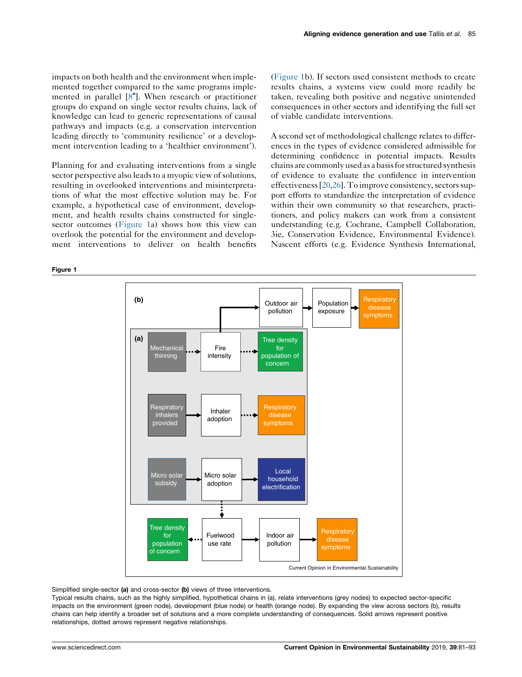impacts on both health and the environment when implemented together compared to the same programs implemented in parallel [[8](#page-11-0) ]. When research or practitioner groups do expand on single sector results chains, lack of knowledge can lead to generic representations of causal pathways and impacts (e.g. a conservation intervention leading directly to 'community resilience' or a development intervention leading to a 'healthier environment').

Planning for and evaluating interventions from a single sector perspective also leads to a myopic view of solutions, resulting in overlooked interventions and misinterpretations of what the most effective solution may be. For example, a hypothetical case of environment, development, and health results chains constructed for singlesector outcomes (Figure 1a) shows how this view can overlook the potential for the environment and development interventions to deliver on health benefits

Figure 1

(Figure 1b). If sectors used consistent methods to create results chains, a systems view could more readily be taken, revealing both positive and negative unintended consequences in other sectors and identifying the full set of viable candidate interventions.

A second set of methodological challenge relates to differences in the types of evidence considered admissible for determining confidence in potential impacts. Results chains are commonly used as a basis for structured synthesis of evidence to evaluate the confidence in intervention effectiveness  $[20,26]$  $[20,26]$ . To improve consistency, sectors support efforts to standardize the interpretation of evidence within their own community so that researchers, practitioners, and policy makers can work from a consistent understanding (e.g. Cochrane, Campbell Collaboration, 3ie, Conservation Evidence, Environmental Evidence). Nascent efforts (e.g. Evidence Synthesis International,



Simplified single-sector (a) and cross-sector (b) views of three interventions.

Typical results chains, such as the highly simplified, hypothetical chains in (a), relate interventions (grey nodes) to expected sector-specific impacts on the environment (green node), development (blue node) or health (orange node). By expanding the view across sectors (b), results chains can help identify a broader set of solutions and a more complete understanding of consequences. Solid arrows represent positive relationships, dotted arrows represent negative relationships.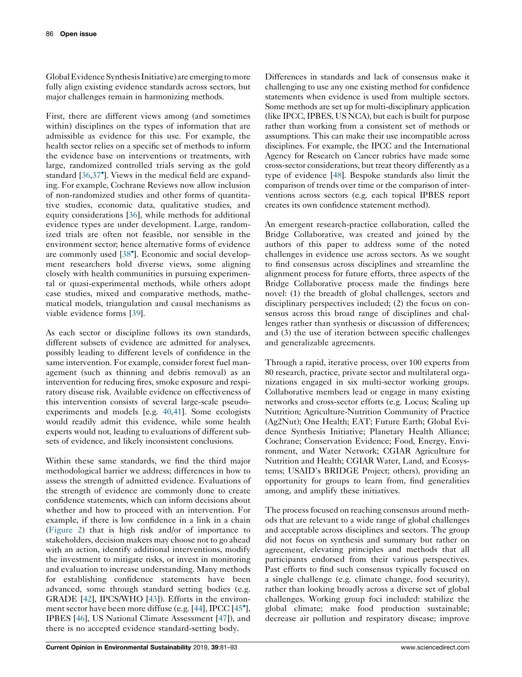GlobalEvidenceSynthesisInitiative) are emerging tomore fully align existing evidence standards across sectors, but major challenges remain in harmonizing methods.

First, there are different views among (and sometimes within) disciplines on the types of information that are admissible as evidence for this use. For example, the health sector relies on a specific set of methods to inform the evidence base on interventions or treatments, with large, randomized controlled trials serving as the gold standard [[36,37](#page-12-0) ]. Views in the medical field are expanding. For example, Cochrane Reviews now allow inclusion of non-randomized studies and other forms of quantitative studies, economic data, qualitative studies, and equity considerations [\[36](#page-12-0)], while methods for additional evidence types are under development. Large, randomized trials are often not feasible, nor sensible in the environment sector; hence alternative forms of evidence are commonly used [[38](#page-12-0) ]. Economic and social development researchers hold diverse views, some aligning closely with health communities in pursuing experimental or quasi-experimental methods, while others adopt case studies, mixed and comparative methods, mathematical models, triangulation and causal mechanisms as viable evidence forms [[39\]](#page-12-0).

As each sector or discipline follows its own standards, different subsets of evidence are admitted for analyses, possibly leading to different levels of confidence in the same intervention. For example, consider forest fuel management (such as thinning and debris removal) as an intervention for reducing fires, smoke exposure and respiratory disease risk. Available evidence on effectiveness of this intervention consists of several large-scale pseudoexperiments and models [e.g. [40,41](#page-12-0)]. Some ecologists would readily admit this evidence, while some health experts would not, leading to evaluations of different subsets of evidence, and likely inconsistent conclusions.

Within these same standards, we find the third major methodological barrier we address; differences in how to assess the strength of admitted evidence. Evaluations of the strength of evidence are commonly done to create confidence statements, which can inform decisions about whether and how to proceed with an intervention. For example, if there is low confidence in a link in a chain [\(Figure](#page-7-0) 2) that is high risk and/or of importance to stakeholders, decision makers may choose not to go ahead with an action, identify additional interventions, modify the investment to mitigate risks, or invest in monitoring and evaluation to increase understanding. Many methods for establishing confidence statements have been advanced, some through standard setting bodies (e.g. GRADE [[42\]](#page-12-0), IPCS/WHO [[43\]](#page-12-0)). Efforts in the environ-ment sector have been more diffuse (e.g. [[44\]](#page-12-0), IPCC [[45](#page-12-0)<sup>°</sup>], IPBES [\[46](#page-12-0)], US National Climate Assessment [[47\]](#page-12-0)), and there is no accepted evidence standard-setting body.

Differences in standards and lack of consensus make it challenging to use any one existing method for confidence statements when evidence is used from multiple sectors. Some methods are set up for multi-disciplinary application (like IPCC, IPBES, US NCA), but each is built for purpose rather than working from a consistent set of methods or assumptions. This can make their use incompatible across disciplines. For example, the IPCC and the International Agency for Research on Cancer rubrics have made some cross-sector considerations, but treat theory differently as a type of evidence [\[48\]](#page-12-0). Bespoke standards also limit the comparison of trends over time or the comparison of interventions across sectors (e.g. each topical IPBES report creates its own confidence statement method).

An emergent research-practice collaboration, called the Bridge Collaborative, was created and joined by the authors of this paper to address some of the noted challenges in evidence use across sectors. As we sought to find consensus across disciplines and streamline the alignment process for future efforts, three aspects of the Bridge Collaborative process made the findings here novel: (1) the breadth of global challenges, sectors and disciplinary perspectives included; (2) the focus on consensus across this broad range of disciplines and challenges rather than synthesis or discussion of differences; and (3) the use of iteration between specific challenges and generalizable agreements.

Through a rapid, iterative process, over 100 experts from 80 research, practice, private sector and multilateral organizations engaged in six multi-sector working groups. Collaborative members lead or engage in many existing networks and cross-sector efforts (e.g. Locus; Scaling up Nutrition; Agriculture-Nutrition Community of Practice (Ag2Nut); One Health; EAT; Future Earth; Global Evidence Synthesis Initiative; Planetary Health Alliance; Cochrane; Conservation Evidence; Food, Energy, Environment, and Water Network; CGIAR Agriculture for Nutrition and Health; CGIAR Water, Land, and Ecosystems; USAID's BRIDGE Project; others), providing an opportunity for groups to learn from, find generalities among, and amplify these initiatives.

The process focused on reaching consensus around methods that are relevant to a wide range of global challenges and acceptable across disciplines and sectors. The group did not focus on synthesis and summary but rather on agreement, elevating principles and methods that all participants endorsed from their various perspectives. Past efforts to find such consensus typically focused on a single challenge (e.g. climate change, food security), rather than looking broadly across a diverse set of global challenges. Working group foci included: stabilize the global climate; make food production sustainable; decrease air pollution and respiratory disease; improve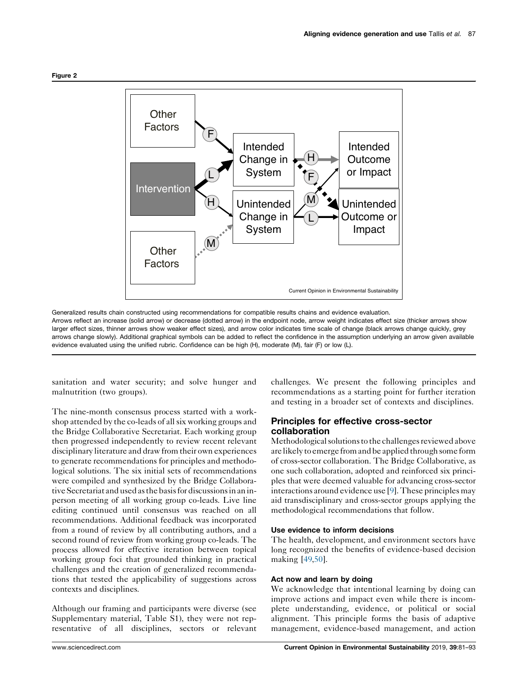<span id="page-7-0"></span>

Generalized results chain constructed using recommendations for compatible results chains and evidence evaluation. Arrows reflect an increase (solid arrow) or decrease (dotted arrow) in the endpoint node, arrow weight indicates effect size (thicker arrows show larger effect sizes, thinner arrows show weaker effect sizes), and arrow color indicates time scale of change (black arrows change quickly, grey arrows change slowly). Additional graphical symbols can be added to reflect the confidence in the assumption underlying an arrow given available evidence evaluated using the unified rubric. Confidence can be high (H), moderate (M), fair (F) or low (L).

sanitation and water security; and solve hunger and malnutrition (two groups).

The nine-month consensus process started with a workshop attended by the co-leads of all six working groups and the Bridge Collaborative Secretariat. Each working group then progressed independently to review recent relevant disciplinary literature and draw from their own experiences to generate recommendations for principles and methodological solutions. The six initial sets of recommendations were compiled and synthesized by the Bridge Collaborative Secretariat and used as the basis for discussions in an inperson meeting of all working group co-leads. Live line editing continued until consensus was reached on all recommendations. Additional feedback was incorporated from a round of review by all contributing authors, and a second round of review from working group co-leads. The process allowed for effective iteration between topical working group foci that grounded thinking in practical challenges and the creation of generalized recommendations that tested the applicability of suggestions across contexts and disciplines.

Although our framing and participants were diverse (see Supplementary material, Table S1), they were not representative of all disciplines, sectors or relevant challenges. We present the following principles and recommendations as a starting point for further iteration and testing in a broader set of contexts and disciplines.

## Principles for effective cross-sector collaboration

Methodological solutions to the challenges reviewed above are likely to emerge from and be applied through some form of cross-sector collaboration. The Bridge Collaborative, as one such collaboration, adopted and reinforced six principles that were deemed valuable for advancing cross-sector interactions around evidence use [\[9](#page-11-0)].These principles may aid transdisciplinary and cross-sector groups applying the methodological recommendations that follow.

## Use evidence to inform decisions

The health, development, and environment sectors have long recognized the benefits of evidence-based decision making [\[49](#page-12-0),[50\]](#page-12-0).

## Act now and learn by doing

We acknowledge that intentional learning by doing can improve actions and impact even while there is incomplete understanding, evidence, or political or social alignment. This principle forms the basis of adaptive management, evidence-based management, and action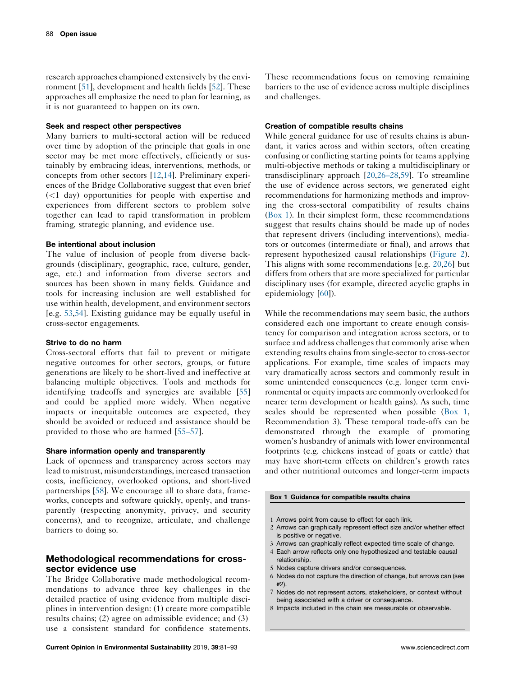research approaches championed extensively by the environment [[51\]](#page-12-0), development and health fields [[52\]](#page-12-0). These approaches all emphasize the need to plan for learning, as it is not guaranteed to happen on its own.

#### Seek and respect other perspectives

Many barriers to multi-sectoral action will be reduced over time by adoption of the principle that goals in one sector may be met more effectively, efficiently or sustainably by embracing ideas, interventions, methods, or concepts from other sectors [\[12](#page-11-0),[14\]](#page-11-0). Preliminary experiences of the Bridge Collaborative suggest that even brief (<1 day) opportunities for people with expertise and experiences from different sectors to problem solve together can lead to rapid transformation in problem framing, strategic planning, and evidence use.

#### Be intentional about inclusion

The value of inclusion of people from diverse backgrounds (disciplinary, geographic, race, culture, gender, age, etc.) and information from diverse sectors and sources has been shown in many fields. Guidance and tools for increasing inclusion are well established for use within health, development, and environment sectors [e.g. [53](#page-12-0),[54\]](#page-13-0). Existing guidance may be equally useful in cross-sector engagements.

#### Strive to do no harm

Cross-sectoral efforts that fail to prevent or mitigate negative outcomes for other sectors, groups, or future generations are likely to be short-lived and ineffective at balancing multiple objectives. Tools and methods for identifying tradeoffs and synergies are available [[55\]](#page-13-0) and could be applied more widely. When negative impacts or inequitable outcomes are expected, they should be avoided or reduced and assistance should be provided to those who are harmed [\[55–57](#page-13-0)].

#### Share information openly and transparently

Lack of openness and transparency across sectors may lead to mistrust, misunderstandings, increased transaction costs, inefficiency, overlooked options, and short-lived partnerships [[58](#page-13-0)]. We encourage all to share data, frameworks, concepts and software quickly, openly, and transparently (respecting anonymity, privacy, and security concerns), and to recognize, articulate, and challenge barriers to doing so.

## Methodological recommendations for crosssector evidence use

The Bridge Collaborative made methodological recommendations to advance three key challenges in the detailed practice of using evidence from multiple disciplines in intervention design: (1) create more compatible results chains; (2) agree on admissible evidence; and (3) use a consistent standard for confidence statements.

Current Opinion in Environmental Sustainability 2019, 39:81–93 www.sciencedirect.com

These recommendations focus on removing remaining barriers to the use of evidence across multiple disciplines and challenges.

#### Creation of compatible results chains

While general guidance for use of results chains is abundant, it varies across and within sectors, often creating confusing or conflicting starting points for teams applying multi-objective methods or taking a multidisciplinary or transdisciplinary approach [\[20](#page-12-0),[26–28,](#page-12-0)[59](#page-13-0)]. To streamline the use of evidence across sectors, we generated eight recommendations for harmonizing methods and improving the cross-sectoral compatibility of results chains (Box 1). In their simplest form, these recommendations suggest that results chains should be made up of nodes that represent drivers (including interventions), mediators or outcomes (intermediate or final), and arrows that represent hypothesized causal relationships ([Figure](#page-7-0) 2). This aligns with some recommendations [e.g. [20](#page-12-0),[26\]](#page-12-0) but differs from others that are more specialized for particular disciplinary uses (for example, directed acyclic graphs in epidemiology [\[60](#page-13-0)]).

While the recommendations may seem basic, the authors considered each one important to create enough consistency for comparison and integration across sectors, or to surface and address challenges that commonly arise when extending results chains from single-sector to cross-sector applications. For example, time scales of impacts may vary dramatically across sectors and commonly result in some unintended consequences (e.g. longer term environmental or equity impacts are commonly overlooked for nearer term development or health gains). As such, time scales should be represented when possible (Box 1, Recommendation 3). These temporal trade-offs can be demonstrated through the example of promoting women's husbandry of animals with lower environmental footprints (e.g. chickens instead of goats or cattle) that may have short-term effects on children's growth rates and other nutritional outcomes and longer-term impacts

#### Box 1 Guidance for compatible results chains

- 1 Arrows point from cause to effect for each link.
- 2 Arrows can graphically represent effect size and/or whether effect is positive or negative.
- 3 Arrows can graphically reflect expected time scale of change.
- 4 Each arrow reflects only one hypothesized and testable causal relationship.
- 5 Nodes capture drivers and/or consequences.
- 6 Nodes do not capture the direction of change, but arrows can (see #2).
- 7 Nodes do not represent actors, stakeholders, or context without being associated with a driver or consequence.
- 8 Impacts included in the chain are measurable or observable.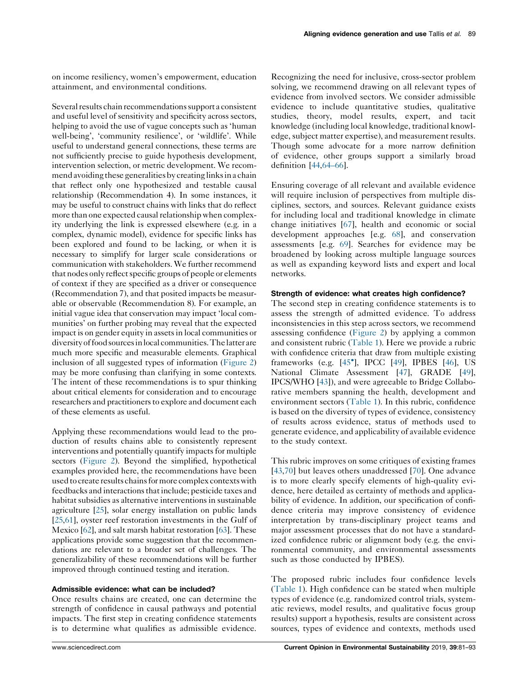on income resiliency, women's empowerment, education attainment, and environmental conditions.

Several results chain recommendations support a consistent and useful level of sensitivity and specificity across sectors, helping to avoid the use of vague concepts such as 'human well-being', 'community resilience', or 'wildlife'. While useful to understand general connections, these terms are not sufficiently precise to guide hypothesis development, intervention selection, or metric development. We recommendavoiding these generalitiesby creating linksin a chain that reflect only one hypothesized and testable causal relationship (Recommendation 4). In some instances, it may be useful to construct chains with links that do reflect more than one expected causal relationship when complexity underlying the link is expressed elsewhere (e.g. in a complex, dynamic model), evidence for specific links has been explored and found to be lacking, or when it is necessary to simplify for larger scale considerations or communication with stakeholders. We further recommend that nodes only reflect specific groups of people or elements of context if they are specified as a driver or consequence (Recommendation 7), and that posited impacts be measurable or observable (Recommendation 8). For example, an initial vague idea that conservation may impact 'local communities' on further probing may reveal that the expected impact is on gender equity in assets in local communities or diversity of food sourcesinlocal communities.Thelatterare much more specific and measurable elements. Graphical inclusion of all suggested types of information [\(Figure](#page-7-0) 2) may be more confusing than clarifying in some contexts. The intent of these recommendations is to spur thinking about critical elements for consideration and to encourage researchers and practitioners to explore and document each of these elements as useful.

Applying these recommendations would lead to the production of results chains able to consistently represent interventions and potentially quantify impacts for multiple sectors [\(Figure](#page-7-0) 2). Beyond the simplified, hypothetical examples provided here, the recommendations have been used to create results chains for more complex contexts with feedbacks and interactions that include; pesticide taxes and habitat subsidies as alternative interventions in sustainable agriculture [\[25](#page-12-0)], solar energy installation on public lands [\[25](#page-12-0)[,61](#page-13-0)], oyster reef restoration investments in the Gulf of Mexico [[62](#page-13-0)], and salt marsh habitat restoration [[63\]](#page-13-0). These applications provide some suggestion that the recommendations are relevant to a broader set of challenges. The generalizability of these recommendations will be further improved through continued testing and iteration.

#### Admissible evidence: what can be included?

Once results chains are created, one can determine the strength of confidence in causal pathways and potential impacts. The first step in creating confidence statements is to determine what qualifies as admissible evidence.

Recognizing the need for inclusive, cross-sector problem solving, we recommend drawing on all relevant types of evidence from involved sectors. We consider admissible evidence to include quantitative studies, qualitative studies, theory, model results, expert, and tacit knowledge (including local knowledge, traditional knowledge, subject matter expertise), and measurement results. Though some advocate for a more narrow definition of evidence, other groups support a similarly broad definition [[44](#page-12-0)[,64–66](#page-13-0)].

Ensuring coverage of all relevant and available evidence will require inclusion of perspectives from multiple disciplines, sectors, and sources. Relevant guidance exists for including local and traditional knowledge in climate change initiatives [\[67](#page-13-0)], health and economic or social development approaches [e.g. [68](#page-13-0)], and conservation assessments [e.g. [69\]](#page-13-0). Searches for evidence may be broadened by looking across multiple language sources as well as expanding keyword lists and expert and local networks.

#### Strength of evidence: what creates high confidence?

The second step in creating confidence statements is to assess the strength of admitted evidence. To address inconsistencies in this step across sectors, we recommend assessing confidence ([Figure](#page-7-0) 2) by applying a common and consistent rubric ([Table](#page-10-0) 1). Here we provide a rubric with confidence criteria that draw from multiple existing frameworks (e.g. [45 ], [IPCC](#page-12-0) [[49\]](#page-12-0), IPBES [[46\]](#page-12-0), US National Climate Assessment [\[47](#page-12-0)], GRADE [[49\]](#page-12-0), IPCS/WHO [\[43](#page-12-0)]), and were agreeable to Bridge Collaborative members spanning the health, development and environment sectors [\(Table](#page-10-0) 1). In this rubric, confidence is based on the diversity of types of evidence, consistency of results across evidence, status of methods used to generate evidence, and applicability of available evidence to the study context.

This rubric improves on some critiques of existing frames [[43](#page-12-0),[70\]](#page-13-0) but leaves others unaddressed [\[70](#page-13-0)]. One advance is to more clearly specify elements of high-quality evidence, here detailed as certainty of methods and applicability of evidence. In addition, our specification of confidence criteria may improve consistency of evidence interpretation by trans-disciplinary project teams and major assessment processes that do not have a standardized confidence rubric or alignment body (e.g. the environmental community, and environmental assessments such as those conducted by IPBES).

The proposed rubric includes four confidence levels ([Table](#page-10-0) 1). High confidence can be stated when multiple types of evidence (e.g. randomized control trials, systematic reviews, model results, and qualitative focus group results) support a hypothesis, results are consistent across sources, types of evidence and contexts, methods used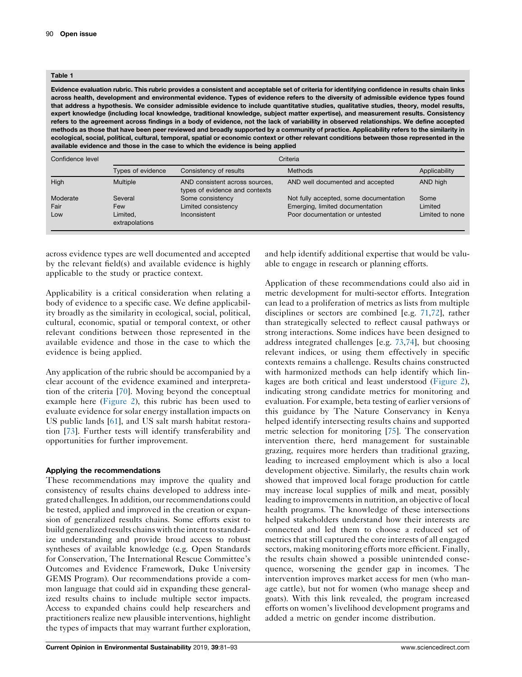#### <span id="page-10-0"></span>Table 1

Evidence evaluation rubric. This rubric provides a consistent and acceptable set of criteria for identifying confidence in results chain links across health, development and environmental evidence. Types of evidence refers to the diversity of admissible evidence types found that address a hypothesis. We consider admissible evidence to include quantitative studies, qualitative studies, theory, model results, expert knowledge (including local knowledge, traditional knowledge, subject matter expertise), and measurement results. Consistency refers to the agreement across findings in a body of evidence, not the lack of variability in observed relationships. We define accepted methods as those that have been peer reviewed and broadly supported by a community of practice. Applicability refers to the similarity in ecological, social, political, cultural, temporal, spatial or economic context or other relevant conditions between those represented in the available evidence and those in the case to which the evidence is being applied

| Confidence level | Criteria                   |                                                                  |                                        |                 |
|------------------|----------------------------|------------------------------------------------------------------|----------------------------------------|-----------------|
|                  | Types of evidence          | Consistency of results                                           | Methods                                | Applicability   |
| High             | <b>Multiple</b>            | AND consistent across sources,<br>types of evidence and contexts | AND well documented and accepted       | AND high        |
| Moderate         | Several                    | Some consistency                                                 | Not fully accepted, some documentation | Some            |
| Fair             | Few                        | Limited consistency                                              | Emerging, limited documentation        | Limited         |
| Low              | Limited.<br>extrapolations | Inconsistent                                                     | Poor documentation or untested         | Limited to none |

across evidence types are well documented and accepted by the relevant field(s) and available evidence is highly applicable to the study or practice context.

Applicability is a critical consideration when relating a body of evidence to a specific case. We define applicability broadly as the similarity in ecological, social, political, cultural, economic, spatial or temporal context, or other relevant conditions between those represented in the available evidence and those in the case to which the evidence is being applied.

Any application of the rubric should be accompanied by a clear account of the evidence examined and interpretation of the criteria [[70\]](#page-13-0). Moving beyond the conceptual example here ([Figure](#page-7-0) 2), this rubric has been used to evaluate evidence for solar energy installation impacts on US public lands [\[61](#page-13-0)], and US salt marsh habitat restoration [[73\]](#page-13-0). Further tests will identify transferability and opportunities for further improvement.

#### Applying the recommendations

These recommendations may improve the quality and consistency of results chains developed to address integrated challenges.In addition, ourrecommendations could be tested, applied and improved in the creation or expansion of generalized results chains. Some efforts exist to build generalized results chains with the intent to standardize understanding and provide broad access to robust syntheses of available knowledge (e.g. Open Standards for Conservation, The International Rescue Committee's Outcomes and Evidence Framework, Duke University GEMS Program). Our recommendations provide a common language that could aid in expanding these generalized results chains to include multiple sector impacts. Access to expanded chains could help researchers and practitioners realize new plausible interventions, highlight the types of impacts that may warrant further exploration,

and help identify additional expertise that would be valuable to engage in research or planning efforts.

Application of these recommendations could also aid in metric development for multi-sector efforts. Integration can lead to a proliferation of metrics as lists from multiple disciplines or sectors are combined [e.g. [71,72](#page-13-0)], rather than strategically selected to reflect causal pathways or strong interactions. Some indices have been designed to address integrated challenges [e.g. [73,74](#page-13-0)], but choosing relevant indices, or using them effectively in specific contexts remains a challenge. Results chains constructed with harmonized methods can help identify which linkages are both critical and least understood [\(Figure](#page-7-0) 2), indicating strong candidate metrics for monitoring and evaluation. For example, beta testing of earlier versions of this guidance by The Nature Conservancy in Kenya helped identify intersecting results chains and supported metric selection for monitoring [\[75](#page-13-0)]. The conservation intervention there, herd management for sustainable grazing, requires more herders than traditional grazing, leading to increased employment which is also a local development objective. Similarly, the results chain work showed that improved local forage production for cattle may increase local supplies of milk and meat, possibly leading to improvements in nutrition, an objective of local health programs. The knowledge of these intersections helped stakeholders understand how their interests are connected and led them to choose a reduced set of metrics that still captured the core interests of all engaged sectors, making monitoring efforts more efficient. Finally, the results chain showed a possible unintended consequence, worsening the gender gap in incomes. The intervention improves market access for men (who manage cattle), but not for women (who manage sheep and goats). With this link revealed, the program increased efforts on women's livelihood development programs and added a metric on gender income distribution.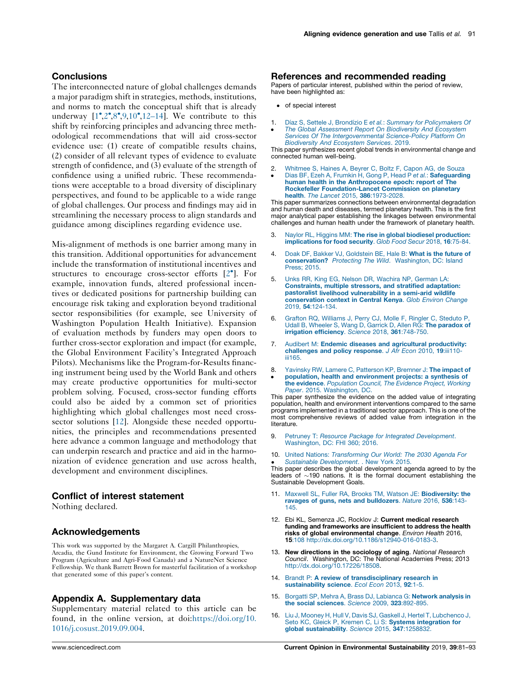## <span id="page-11-0"></span>**Conclusions**

The interconnected nature of global challenges demands a major paradigm shift in strategies, methods, institutions, and norms to match the conceptual shift that is already underway  $[1^{\bullet}, 2^{\bullet}, 8^{\bullet}, 9, 10^{\bullet}, 12-14]$ . We contribute to this shift by reinforcing principles and advancing three methodological recommendations that will aid cross-sector evidence use: (1) create of compatible results chains, (2) consider of all relevant types of evidence to evaluate strength of confidence, and (3) evaluate of the strength of confidence using a unified rubric. These recommendations were acceptable to a broad diversity of disciplinary perspectives, and found to be applicable to a wide range of global challenges. Our process and findings may aid in streamlining the necessary process to align standards and guidance among disciplines regarding evidence use.

Mis-alignment of methods is one barrier among many in this transition. Additional opportunities for advancement include the transformation of institutional incentives and structures to encourage cross-sector efforts [2 ]. For example, innovation funds, altered professional incentives or dedicated positions for partnership building can encourage risk taking and exploration beyond traditional sector responsibilities (for example, see University of Washington Population Health Initiative). Expansion of evaluation methods by funders may open doors to further cross-sector exploration and impact (for example, the Global Environment Facility's Integrated Approach Pilots). Mechanisms like the Program-for-Results financing instrument being used by the World Bank and others may create productive opportunities for multi-sector problem solving. Focused, cross-sector funding efforts could also be aided by a common set of priorities highlighting which global challenges most need crosssector solutions [12]. Alongside these needed opportunities, the principles and recommendations presented here advance a common language and methodology that can underpin research and practice and aid in the harmonization of evidence generation and use across health, development and environment disciplines.

#### Conflict of interest statement

Nothing declared.

#### Acknowledgements

This work was supported by the Margaret A. Cargill Philanthropies, Arcadia, the Gund Institute for Environment, the Growing Forward Two Program (Agriculture and Agri-Food Canada) and a NatureNet Science Fellowship. We thank Barrett Brown for masterful facilitation of a workshop that generated some of this paper's content.

## Appendix A. Supplementary data

Supplementary material related to this article can be found, in the online version, at doi:[https://doi.org/10.](https://doi.org/10.1016/j.cosust.2019.09.004) [1016/j.cosust.2019.09.004](https://doi.org/10.1016/j.cosust.2019.09.004).

#### References and recommended reading

Papers of particular interest, published within the period of review, have been highlighted as:

- of special interest
- 1. Díaz S, Settele J, Brondízio E et al.: Summary for [Policymakers](http://refhub.elsevier.com/S1877-3435(18)30137-4/sbref0005) Of
- ٔ The Global [Assessment](http://refhub.elsevier.com/S1877-3435(18)30137-4/sbref0005) Report On Biodiversity And Ecosystem Services Of The [Intergovernmental](http://refhub.elsevier.com/S1877-3435(18)30137-4/sbref0005) Science-Policy Platform On [Biodiversity](http://refhub.elsevier.com/S1877-3435(18)30137-4/sbref0005) And Ecosystem Services. 2019.

This paper synthesizes recent global trends in environmental change and connected human well-being.

- 2. [Whitmee](http://refhub.elsevier.com/S1877-3435(18)30137-4/sbref0010) S, Haines A, Beyrer C, Boltz F, Capon AG, de Souza
- <u>•</u> Dias BF, Ezeh A, Frumkin H, Gong P, Head P et al.: [Safeguarding](http://refhub.elsevier.com/S1877-3435(18)30137-4/sbref0010) human health in the [Anthropocene](http://refhub.elsevier.com/S1877-3435(18)30137-4/sbref0010) epoch: report of The Rockefeller [Foundation-Lancet](http://refhub.elsevier.com/S1877-3435(18)30137-4/sbref0010) Commission on planetary health. The Lancet 2015, 386[:1973-2028.](http://refhub.elsevier.com/S1877-3435(18)30137-4/sbref0010)

This paper summarizes connections between environmental degradation and human death and diseases, termed planetary health. This is the first major analytical paper establishing the linkages between environmental challenges and human health under the framework of planetary health.

- 3. Naylor RL, Higgins MM: The rise in global biodiesel [production:](http://refhub.elsevier.com/S1877-3435(18)30137-4/sbref0015) [implications](http://refhub.elsevier.com/S1877-3435(18)30137-4/sbref0015) for food security. Glob Food Secur 2018, 16:75-84.
- 4. Doak DE, Bakker VJ, [Goldstein](http://refhub.elsevier.com/S1877-3435(18)30137-4/sbref0020) BE, Hale B: What is the future of [conservation?](http://refhub.elsevier.com/S1877-3435(18)30137-4/sbref0020) Protecting The Wild. Washington, DC: Island [Press;](http://refhub.elsevier.com/S1877-3435(18)30137-4/sbref0020) 2015.
- 5. Unks RR, King EG, Nelson DR, [Wachira](http://refhub.elsevier.com/S1877-3435(18)30137-4/sbref0025) NP, German LA: [Constraints,](http://refhub.elsevier.com/S1877-3435(18)30137-4/sbref0025) multiple stressors, and stratified adaptation: pastoralist livelihood [vulnerability](http://refhub.elsevier.com/S1877-3435(18)30137-4/sbref0025) in a semi-arid wildlife [conservation](http://refhub.elsevier.com/S1877-3435(18)30137-4/sbref0025) context in Central Kenya. Glob Environ Change 2019, 54[:124-134.](http://refhub.elsevier.com/S1877-3435(18)30137-4/sbref0025)
- 6. Grafton RQ, [Williams](http://refhub.elsevier.com/S1877-3435(18)30137-4/sbref0030) J, Perry CJ, Molle F, Ringler C, Steduto P, Udall B, Wheeler S, Wang D, Garrick D, Allen RG: The [paradox](http://refhub.elsevier.com/S1877-3435(18)30137-4/sbref0030) of irrigation [efficiency](http://refhub.elsevier.com/S1877-3435(18)30137-4/sbref0030). Science 2018, 361:748-750.
- 7. Audibert M: Endemic diseases and agricultural [productivity:](http://refhub.elsevier.com/S1877-3435(18)30137-4/sbref0035) [challenges](http://refhub.elsevier.com/S1877-3435(18)30137-4/sbref0035) and policy response. J Afr Econ 2010, 19:iii110[iii165.](http://refhub.elsevier.com/S1877-3435(18)30137-4/sbref0035)
- 8. Yavinsky RW, Lamere C, [Patterson](http://refhub.elsevier.com/S1877-3435(18)30137-4/sbref0040) KP, Bremner J: The impact of
- <u>•</u> population, health and [environment](http://refhub.elsevier.com/S1877-3435(18)30137-4/sbref0040) projects: a synthesis of the evidence. [Population](http://refhub.elsevier.com/S1877-3435(18)30137-4/sbref0040) Council, The Evidence Project, Working Paper. 2015. [Washington,](http://refhub.elsevier.com/S1877-3435(18)30137-4/sbref0040) DC.

This paper synthesize the evidence on the added value of integrating population, health and environment interventions compared to the same programs implemented in a traditional sector approach. This is one of the most comprehensive reviews of added value from integration in the literature.

- 9. Petruney T: Resource Package for Integrated [Development](http://refhub.elsevier.com/S1877-3435(18)30137-4/sbref0045). [Washington,](http://refhub.elsevier.com/S1877-3435(18)30137-4/sbref0045) DC: FHI 360; 2016.
- 10. United Nations: [Transforming](http://refhub.elsevier.com/S1877-3435(18)30137-4/sbref0050) Our World: The 2030 Agenda For

• Sustainable Development. New York 2015.<br>This paper describes the global development agenda agreed to by the Sustainable [Development](http://refhub.elsevier.com/S1877-3435(18)30137-4/sbref0050). . New York 2015. leaders of  $\sim$ 190 nations. It is the formal document establishing the Sustainable Development Goals.

- 11. Maxwell SL, Fuller RA, Brooks TM, Watson JE: [Biodiversity:](http://refhub.elsevier.com/S1877-3435(18)30137-4/sbref0055) the ravages of guns, nets and [bulldozers](http://refhub.elsevier.com/S1877-3435(18)30137-4/sbref0055). Nature 2016, 536:143- [145.](http://refhub.elsevier.com/S1877-3435(18)30137-4/sbref0055)
- 12. Ebi KL, Semenza JC, Rocklov J: Current medical research funding and frameworks are insufficient to address the health risks of global environmental change. Environ Health 2016, 15:108 [http://dx.doi.org/10.1186/s12940-016-0183-3](http://dx.doi.org/10.17226/18508).
- 13. New directions in the sociology of aging. National Research Council. Washington, DC: The National Academies Press; 2013 [http://dx.doi.org/10.17226/18508.](http://dx.doi.org/10.17226/18508)
- 14. Brandt P: A review of [transdisciplinary](http://refhub.elsevier.com/S1877-3435(18)30137-4/sbref0070) research in [sustainability](http://refhub.elsevier.com/S1877-3435(18)30137-4/sbref0070) science. Ecol Econ 2013, 92:1-5.
- 15. Borgatti SP, Mehra A, Brass DJ, [Labianca](http://refhub.elsevier.com/S1877-3435(18)30137-4/sbref0075) G: Network analysis in the social sciences. Science 2009, 323[:892-895.](http://refhub.elsevier.com/S1877-3435(18)30137-4/sbref0075)
- 16. Liu J, Mooney H, Hull V, Davis SJ, Gaskell J, Hertel T, [Lubchenco](http://refhub.elsevier.com/S1877-3435(18)30137-4/sbref0080) J, Seto KC, Gleick P, Kremen C, Li S: Systems [integration](http://refhub.elsevier.com/S1877-3435(18)30137-4/sbref0080) for global [sustainability](http://refhub.elsevier.com/S1877-3435(18)30137-4/sbref0080). Science 2015, 347:1258832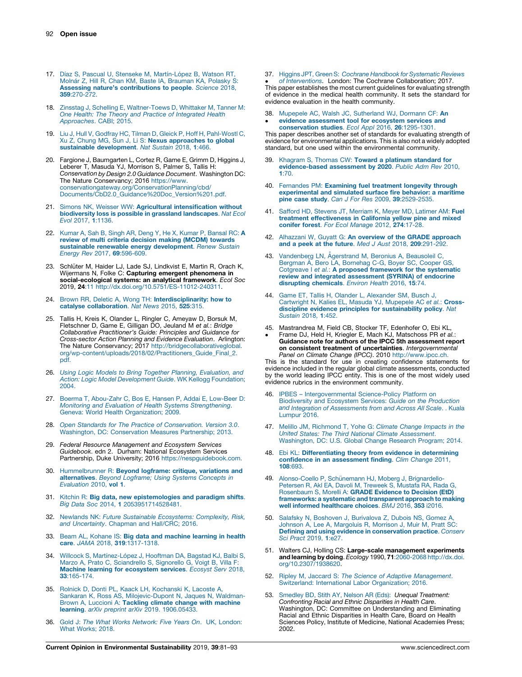- <span id="page-12-0"></span>17. Díaz S, Pascual U, Stenseke M, Martín-López B, Watson RT, Molnár Z, Hill R, Chan KM, Baste IA, [Brauman](http://refhub.elsevier.com/S1877-3435(18)30137-4/sbref0085) KA, Polasky S: Assessing nature's [contributions](http://refhub.elsevier.com/S1877-3435(18)30137-4/sbref0085) to people. Science 2018, 359[:270-272.](http://refhub.elsevier.com/S1877-3435(18)30137-4/sbref0085)
- 18. Zinsstag J, Schelling E, [Waltner-Toews](http://refhub.elsevier.com/S1877-3435(18)30137-4/sbref0090) D, Whittaker M, Tanner M: One Health: The Theory and Practice of [Integrated](http://refhub.elsevier.com/S1877-3435(18)30137-4/sbref0090) Health [Approaches](http://refhub.elsevier.com/S1877-3435(18)30137-4/sbref0090). CABI; 2015.
- 19. Liu J, Hull V, Godfray HC, Tilman D, Gleick P, Hoff H, [Pahl-Wostl](http://refhub.elsevier.com/S1877-3435(18)30137-4/sbref0095) C, Xu Z, Chung MG, Sun J, Li S: **Nexus [approaches](http://refhub.elsevier.com/S1877-3435(18)30137-4/sbref0095) to global**<br>**sustainable [development](http://refhub.elsevier.com/S1877-3435(18)30137-4/sbref0095)**. *Nat Sustain* 2018, 1:466.
- 20. Fargione J, Baumgarten L, Cortez R, Game E, Grimm D, Higgins J, Leberer T, Masuda YJ, Morrison S, Palmer S, Tallis H: Conservation by Design 2.0 Guidance Document. Washington DC: The Nature Conservancy; 2016 [https://www.](https://www.conservationgateway.org/ConservationPlanning/cbd/Documents/CbD2.0_Guidance Doc_Version 1.pdf) [conservationgateway.org/ConservationPlanning/cbd/](https://www.conservationgateway.org/ConservationPlanning/cbd/Documents/CbD2.0_Guidance Doc_Version 1.pdf) [Documents/CbD2.0\\_Guidance%20Doc\\_Version%201.pdf.](https://www.conservationgateway.org/ConservationPlanning/cbd/Documents/CbD2.0_Guidance Doc_Version 1.pdf)
- 21. Simons NK, Weisser WW: Agricultural [intensification](http://refhub.elsevier.com/S1877-3435(18)30137-4/sbref0105) without [biodiversity](http://refhub.elsevier.com/S1877-3435(18)30137-4/sbref0105) loss is possible in grassland landscapes. Nat Ecol Evol 2017, 1[:1136.](http://refhub.elsevier.com/S1877-3435(18)30137-4/sbref0105)
- 22. Kumar A, Sah B, Singh AR, Deng Y, He X, Kumar P, [Bansal](http://refhub.elsevier.com/S1877-3435(18)30137-4/sbref0110) RC: A review of multi criteria [decision](http://refhub.elsevier.com/S1877-3435(18)30137-4/sbref0110) making (MCDM) towards **sustainable renewable energy [development](http://refhub.elsevier.com/S1877-3435(18)30137-4/sbref0110)**. Renew Sustain<br>*Energy Rev* 2017, **69**[:596-609.](http://refhub.elsevier.com/S1877-3435(18)30137-4/sbref0110)
- 23. Schlüter M, Haider LJ, Lade SJ, Lindkvist E, Martin R, Orach K, Wijermans N, Folke C: Capturing emergent phenomena in social-ecological systems: an analytical framework. Ecol Soc 2019, 24:11 <http://dx.doi.org/10.5751/ES-11012-240311>.
- 24. Brown RR, Deletic A, Wong TH: [Interdisciplinarity:](http://refhub.elsevier.com/S1877-3435(18)30137-4/sbref0120) how to catalyse [collaboration](http://refhub.elsevier.com/S1877-3435(18)30137-4/sbref0120). Nat News 2015, 525:315.
- 25. Tallis H, Kreis K, Olander L, Ringler C, Ameyaw D, Borsuk M, Fletschner D, Game E, Gilligan DO, Jeuland M et al.: Bridge Collaborative Practitioner's Guide: Principles and Guidance for Cross-sector Action Planning and Evidence Evaluation. Arlington: The Nature Conservancy; 2017 [http://bridgecollaborativeglobal.](http://bridgecollaborativeglobal.org/wp-content/uploads/2018/02/Practitioners_Guide_Final_2.pdf) [org/wp-content/uploads/2018/02/Practitioners\\_Guide\\_Final\\_2.](http://bridgecollaborativeglobal.org/wp-content/uploads/2018/02/Practitioners_Guide_Final_2.pdf) [pdf](http://bridgecollaborativeglobal.org/wp-content/uploads/2018/02/Practitioners_Guide_Final_2.pdf).
- 26. Using Logic Models to Bring Together Planning, [Evaluation,](http://refhub.elsevier.com/S1877-3435(18)30137-4/sbref0130) and Action: Logic Model [Development](http://refhub.elsevier.com/S1877-3435(18)30137-4/sbref0130) Guide. WK Kellogg Foundation; [2004.](http://refhub.elsevier.com/S1877-3435(18)30137-4/sbref0130)
- 27. Boerma T, [Abou-Zahr](http://refhub.elsevier.com/S1877-3435(18)30137-4/sbref0135) C, Bos E, Hansen P, Addai E, Low-Beer D: Monitoring and Evaluation of Health Systems [Strengthening](http://refhub.elsevier.com/S1877-3435(18)30137-4/sbref0135). Geneva: World Health [Organization;](http://refhub.elsevier.com/S1877-3435(18)30137-4/sbref0135) 2009.
- 28. Open Standards for The Practice of [Conservation.](http://refhub.elsevier.com/S1877-3435(18)30137-4/sbref0140) Version 3.0. Washington, DC: [Conservation](http://refhub.elsevier.com/S1877-3435(18)30137-4/sbref0140) Measures Partnership; 2013.
- 29. Federal Resource Management and Ecosystem Services Guidebook. edn 2. Durham: National Ecosystem Services Partnership, Duke University; 2016 <https://nespguidebook.com>.
- 30. [Hummelbrunner](http://refhub.elsevier.com/S1877-3435(18)30137-4/sbref0150) R: Beyond logframe: critique, variations and [alternatives](http://refhub.elsevier.com/S1877-3435(18)30137-4/sbref0150). Beyond Logframe; Using Systems Concepts in [Evaluation](http://refhub.elsevier.com/S1877-3435(18)30137-4/sbref0150) 2010, vol 1.
- 31. Kitchin R: **Big data, new [epistemologies](http://refhub.elsevier.com/S1877-3435(18)30137-4/sbref0155) and paradigm shifts.**<br>Big Data Soc 2014, 1 [2053951714528481.](http://refhub.elsevier.com/S1877-3435(18)30137-4/sbref0155)
- 32. Newlands NK: Future Sustainable [Ecosystems:](http://refhub.elsevier.com/S1877-3435(18)30137-4/sbref0160) Complexity, Risk, and [Uncertainty](http://refhub.elsevier.com/S1877-3435(18)30137-4/sbref0160). Chapman and Hall/CRC; 2016.
- 33. Beam AL, Kohane IS: Big data and [machine](http://refhub.elsevier.com/S1877-3435(18)30137-4/sbref0165) learning in health care. JAMA 2018, 319[:1317-1318.](http://refhub.elsevier.com/S1877-3435(18)30137-4/sbref0165)
- 34. Willcock S, Martínez-López J, Hooftman DA, Bagstad KJ, Balbi S, Marzo A, Prato C, [Sciandrello](http://refhub.elsevier.com/S1877-3435(18)30137-4/sbref0170) S, Signorello G, Voigt B, Villa F: Machine learning for [ecosystem](http://refhub.elsevier.com/S1877-3435(18)30137-4/sbref0170) services. Ecosyst Serv 2018, 33[:165-174.](http://refhub.elsevier.com/S1877-3435(18)30137-4/sbref0170)
- 35. Rolnick D, Donti PL, Kaack LH, [Kochanski](http://refhub.elsevier.com/S1877-3435(18)30137-4/sbref0175) K, Lacoste A, Sankaran K, Ross AS, [Milojevic-Dupont](http://refhub.elsevier.com/S1877-3435(18)30137-4/sbref0175) N, Jaques N, Waldman-<br>Brown A, Luccioni A: **[Tackling](http://refhub.elsevier.com/S1877-3435(18)30137-4/sbref0175) climate change with machine** learning. arXiv preprint arXiv 2019. [1906.05433.](http://refhub.elsevier.com/S1877-3435(18)30137-4/sbref0175)
- 36. Gold J: The What Works [Network:](http://refhub.elsevier.com/S1877-3435(18)30137-4/sbref0180) Five Years On. UK, London: What [Works;](http://refhub.elsevier.com/S1877-3435(18)30137-4/sbref0180) 2018.

37. Higgins JPT, Green S: Cochrane Handbook for [Systematic](http://refhub.elsevier.com/S1877-3435(18)30137-4/sbref0185) Reviews

• *Or interventions.* London: The Gochrane Gollaboration; 2017.<br>This paper establishes the most current guidelines for evaluating strength of [Interventions](http://refhub.elsevier.com/S1877-3435(18)30137-4/sbref0185). London: The Cochrane Collaboration; 2017. of evidence in the medical health community. It sets the standard for evidence evaluation in the health community.

38. Mupepele AC, Walsh JC, [Sutherland](http://refhub.elsevier.com/S1877-3435(18)30137-4/sbref0190) WJ, Dormann CF: An evidence [assessment](http://refhub.elsevier.com/S1877-3435(18)30137-4/sbref0190) tool for ecosystem services and

• evidence assessment tool for ecosystem services and<br>[conservation](http://refhub.elsevier.com/S1877-3435(18)30137-4/sbref0190) studies. Ecol Appl 2016, 26:1295-1301.<br>This paper describes another set of standards for evaluating strength of evidence for environmental applications. This is also not a widely adopted standard, but one used within the environmental community.

- Khagram S, Thomas CW: Toward a platinum [standard](http://refhub.elsevier.com/S1877-3435(18)30137-4/sbref0195) for [evidence-based](http://refhub.elsevier.com/S1877-3435(18)30137-4/sbref0195) assessment by 2020. Public Adm Rev 2010, 1[:70.](http://refhub.elsevier.com/S1877-3435(18)30137-4/sbref0195)
- 40. Fernandes PM: [Examining](http://refhub.elsevier.com/S1877-3435(18)30137-4/sbref0200) fuel treatment longevity through [experimental](http://refhub.elsevier.com/S1877-3435(18)30137-4/sbref0200) and simulated surface fire behavior: a maritime pine case study. Can J For Res 2009, 39[:2529-2535.](http://refhub.elsevier.com/S1877-3435(18)30137-4/sbref0200)
- 41. Safford HD, Stevens JT, [Merriam](http://refhub.elsevier.com/S1877-3435(18)30137-4/sbref0205) K, Meyer MD, Latimer AM: Fuel treatment [effectiveness](http://refhub.elsevier.com/S1877-3435(18)30137-4/sbref0205) in California yellow pine and mixed conifer forest. For Ecol [Manage](http://refhub.elsevier.com/S1877-3435(18)30137-4/sbref0205) 2012, 274:17-28.
- 42. Alhazzani W, Guyatt G: An overview of the GRADE [approach](http://refhub.elsevier.com/S1877-3435(18)30137-4/sbref0210) and a peek at the future. Med J Aust 2018, 209[:291-292.](http://refhub.elsevier.com/S1877-3435(18)30137-4/sbref0210)
- 43. [Vandenberg](http://refhub.elsevier.com/S1877-3435(18)30137-4/sbref0215) LN, Ågerstrand M, Beronius A, Beausoleil C,<br>Bergman Å, Bero LA, [Bornehag](http://refhub.elsevier.com/S1877-3435(18)30137-4/sbref0215) C-G, Boyer SC, Cooper GS,<br>Cotgreave I et al.: **A proposed framework for the [systematic](http://refhub.elsevier.com/S1877-3435(18)30137-4/sbref0215)** review and integrated [assessment](http://refhub.elsevier.com/S1877-3435(18)30137-4/sbref0215) (SYRINA) of endocrine disrupting [chemicals](http://refhub.elsevier.com/S1877-3435(18)30137-4/sbref0215). Environ Health 2016, 15:74.
- 44. Game ET, Tallis H, Olander L, [Alexander](http://refhub.elsevier.com/S1877-3435(18)30137-4/sbref0220) SM, Busch J,<br>[Cartwright](http://refhub.elsevier.com/S1877-3435(18)30137-4/sbref0220) N, Kalies EL, Masuda YJ, Mupepele AC *et al.*: Crossdiscipline evidence principles for [sustainability](http://refhub.elsevier.com/S1877-3435(18)30137-4/sbref0220) policy. Nat [Sustain](http://refhub.elsevier.com/S1877-3435(18)30137-4/sbref0220) 2018, 1:452.
- 45. Mastrandrea M, Field CB, Stocker TF, Edenhofer O, Ebi KL,
- $\bullet$ Frame DJ, Held H, Kriegler E, Mach KJ, Matschoss PR *et al.*:<br>**Guidance note for authors of the IPCC 5th assessment report** on consistent treatment of uncertainties. Intergovernmental Panel on Climate Change (IPCC). 2010 [http://www.ipcc.ch.](http://www.ipcc.ch)

This is the standard for use in creating confidence statements for evidence included in the regular global climate assessments, conducted by the world leading IPCC entity. This is one of the most widely used evidence rubrics in the environment community.

- 46. IPBES [Intergovernmental](http://refhub.elsevier.com/S1877-3435(18)30137-4/sbref0230) Science-Policy Platform on [Biodiversity](http://refhub.elsevier.com/S1877-3435(18)30137-4/sbref0230) and Ecosystem Services: Guide on the Production and Integration of [Assessments](http://refhub.elsevier.com/S1877-3435(18)30137-4/sbref0230) from and Across All Scale. . Kuala [Lumpur](http://refhub.elsevier.com/S1877-3435(18)30137-4/sbref0230) 2016.
- 47. Melillo JM, [Richmond](http://refhub.elsevier.com/S1877-3435(18)30137-4/sbref0235) T, Yohe G: Climate Change Impacts in the United States: The Third National Climate [Assessment](http://refhub.elsevier.com/S1877-3435(18)30137-4/sbref0235). [Washington,](http://refhub.elsevier.com/S1877-3435(18)30137-4/sbref0235) DC: U.S. Global Change Research Program; 2014.
- 48. Ebi KL: [Differentiating](http://refhub.elsevier.com/S1877-3435(18)30137-4/sbref0240) theory from evidence in determining confidence in an [assessment](http://refhub.elsevier.com/S1877-3435(18)30137-4/sbref0240) finding. Clim Change 2011, 108[:693.](http://refhub.elsevier.com/S1877-3435(18)30137-4/sbref0240)
- 49. [Alonso-Coello](http://refhub.elsevier.com/S1877-3435(18)30137-4/sbref0245) P, Schünemann HJ, Moberg J, Brignardello-[Petersen](http://refhub.elsevier.com/S1877-3435(18)30137-4/sbref0245) R, Akl EA, Davoli M, Treweek S, Mustafa RA, Rada G, [Rosenbaum](http://refhub.elsevier.com/S1877-3435(18)30137-4/sbref0245) S, Morelli A: GRADE Evidence to Decision (EtD) [frameworks:](http://refhub.elsevier.com/S1877-3435(18)30137-4/sbref0245) a systematic and transparent approach to making well informed [healthcare](http://refhub.elsevier.com/S1877-3435(18)30137-4/sbref0245) choices. BMJ 2016, 353 i2016.
- 50. Salafsky N, Boshoven J, [Burivalova](http://refhub.elsevier.com/S1877-3435(18)30137-4/sbref0250) Z, Dubois NS, Gomez A, Johnson A, Lee A, [Margoluis](http://refhub.elsevier.com/S1877-3435(18)30137-4/sbref0250) R, Morrison J, Muir M, Pratt SC: Defining and using evidence in [conservation](http://refhub.elsevier.com/S1877-3435(18)30137-4/sbref0250) practice. Conserv Sci Pract [2019,](http://refhub.elsevier.com/S1877-3435(18)30137-4/sbref0250) 1:e27.
- 51. Walters CJ, Holling CS: Large-scale management experiments and learning by doing. Ecology 1990, 71:2060-2068 [http://dx.doi.](http://dx.doi.org/10.2307/1938620) [org/10.2307/1938620](http://dx.doi.org/10.2307/1938620).
- 52. Ripley M, Jaccard S: The Science of Adaptive [Management](http://refhub.elsevier.com/S1877-3435(18)30137-4/sbref0260). Switzerland: International Labor [Organization;](http://refhub.elsevier.com/S1877-3435(18)30137-4/sbref0260) 2016.
- 53. Smedley BD, Stith AY, Nelson AR (Eds): Unequal [Treatment:](http://refhub.elsevier.com/S1877-3435(18)30137-4/sbref0265) [Confronting](http://refhub.elsevier.com/S1877-3435(18)30137-4/sbref0265) Racial and Ethnic Disparities in Health Care. Washington, DC: Committee on Understanding and Eliminating Racial and Ethnic Disparities in Health Care, Board on Health Sciences Policy, Institute of Medicine, National Academies Press; 2002.